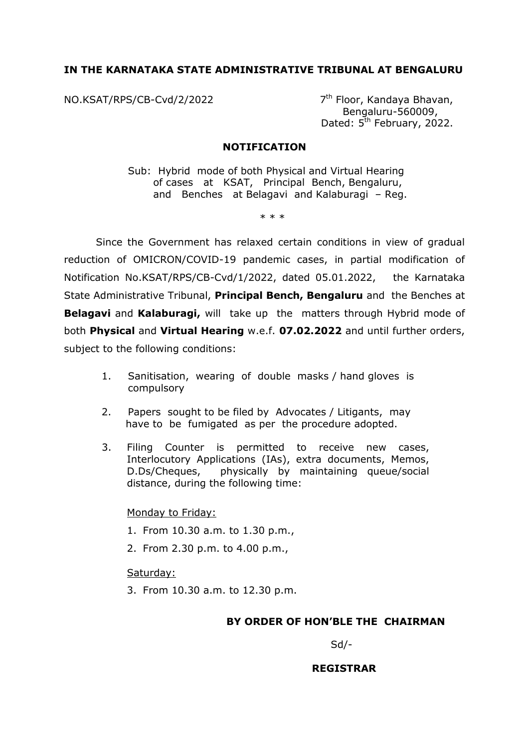## **IN THE KARNATAKA STATE ADMINISTRATIVE TRIBUNAL AT BENGALURU**

NO.KSAT/RPS/CB-Cvd/2/2022 7

7<sup>th</sup> Floor, Kandaya Bhavan, Bengaluru-560009, Dated: 5<sup>th</sup> February, 2022.

### **NOTIFICATION**

Sub: Hybrid mode of both Physical and Virtual Hearing of cases at KSAT, Principal Bench, Bengaluru, and Benches at Belagavi and Kalaburagi – Reg.

\* \* \*

Since the Government has relaxed certain conditions in view of gradual reduction of OMICRON/COVID-19 pandemic cases, in partial modification of Notification No.KSAT/RPS/CB-Cvd/1/2022, dated 05.01.2022, the Karnataka State Administrative Tribunal, **Principal Bench, Bengaluru** and the Benches at **Belagavi** and **Kalaburagi,** will take up the matters through Hybrid mode of both **Physical** and **Virtual Hearing** w.e.f. **07.02.2022** and until further orders, subject to the following conditions:

- 1. Sanitisation, wearing of double masks / hand gloves is compulsory
- 2. Papers sought to be filed by Advocates / Litigants, may have to be fumigated as per the procedure adopted.
- 3. Filing Counter is permitted to receive new cases, Interlocutory Applications (IAs), extra documents, Memos, D.Ds/Cheques, physically by maintaining queue/social distance, during the following time:

### Monday to Friday:

- 1. From 10.30 a.m. to 1.30 p.m.,
- 2. From 2.30 p.m. to 4.00 p.m.,

### Saturday:

3. From 10.30 a.m. to 12.30 p.m.

### **BY ORDER OF HON'BLE THE CHAIRMAN**

Sd/-

 **REGISTRAR**